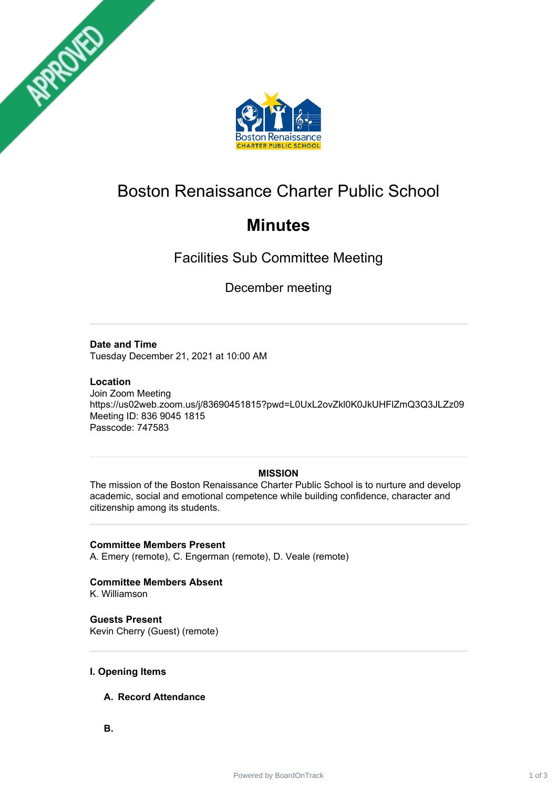



# Boston Renaissance Charter Public School

# **Minutes**

Facilities Sub Committee Meeting

December meeting

# **Date and Time**

Tuesday December 21, 2021 at 10:00 AM

#### **Location**

Join Zoom Meeting https://us02web.zoom.us/j/83690451815?pwd=L0UxL2ovZkl0K0JkUHFlZmQ3Q3JLZz09 Meeting ID: 836 9045 1815 Passcode: 747583

## **MISSION**

The mission of the Boston Renaissance Charter Public School is to nurture and develop academic, social and emotional competence while building confidence, character and citizenship among its students.

## **Committee Members Present**

A. Emery (remote), C. Engerman (remote), D. Veale (remote)

# **Committee Members Absent**

K. Williamson

**Guests Present** Kevin Cherry (Guest) (remote)

#### **I. Opening Items**

## **A. Record Attendance**

**B.**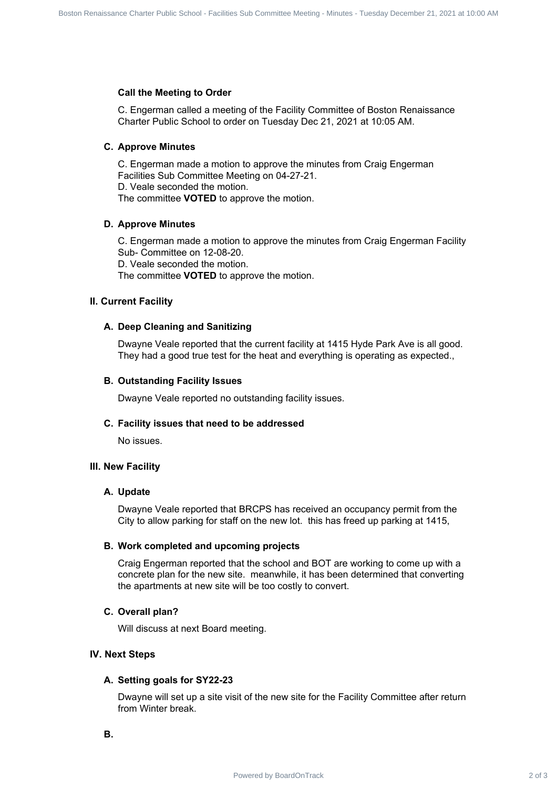#### **Call the Meeting to Order**

C. Engerman called a meeting of the Facility Committee of Boston Renaissance Charter Public School to order on Tuesday Dec 21, 2021 at 10:05 AM.

#### **C. Approve Minutes**

C. Engerman made a motion to approve the minutes from Craig Engerman Facilities Sub Committee Meeting on 04-27-21. D. Veale seconded the motion. The committee **VOTED** to approve the motion.

#### **D. Approve Minutes**

C. Engerman made a motion to approve the minutes from Craig Engerman Facility Sub- Committee on 12-08-20. D. Veale seconded the motion. The committee **VOTED** to approve the motion. Board Track 2 of 3 Board Contract 2 of 3 Board Committee Charter Charter Charter Charter Charter Public School - Charter Public School - Charter Public School - Charter Public School - Charter Public School - Charter Publi

#### **II. Current Facility**

#### **A. Deep Cleaning and Sanitizing**

Dwayne Veale reported that the current facility at 1415 Hyde Park Ave is all good. They had a good true test for the heat and everything is operating as expected.,

#### **B. Outstanding Facility Issues**

Dwayne Veale reported no outstanding facility issues.

#### **C. Facility issues that need to be addressed**

No issues.

#### **III. New Facility**

#### **A. Update**

Dwayne Veale reported that BRCPS has received an occupancy permit from the City to allow parking for staff on the new lot. this has freed up parking at 1415,

#### **B. Work completed and upcoming projects**

Craig Engerman reported that the school and BOT are working to come up with a concrete plan for the new site. meanwhile, it has been determined that converting the apartments at new site will be too costly to convert.

#### **C. Overall plan?**

Will discuss at next Board meeting.

#### **IV. Next Steps**

#### **A. Setting goals for SY22-23**

Dwayne will set up a site visit of the new site for the Facility Committee after return from Winter break.